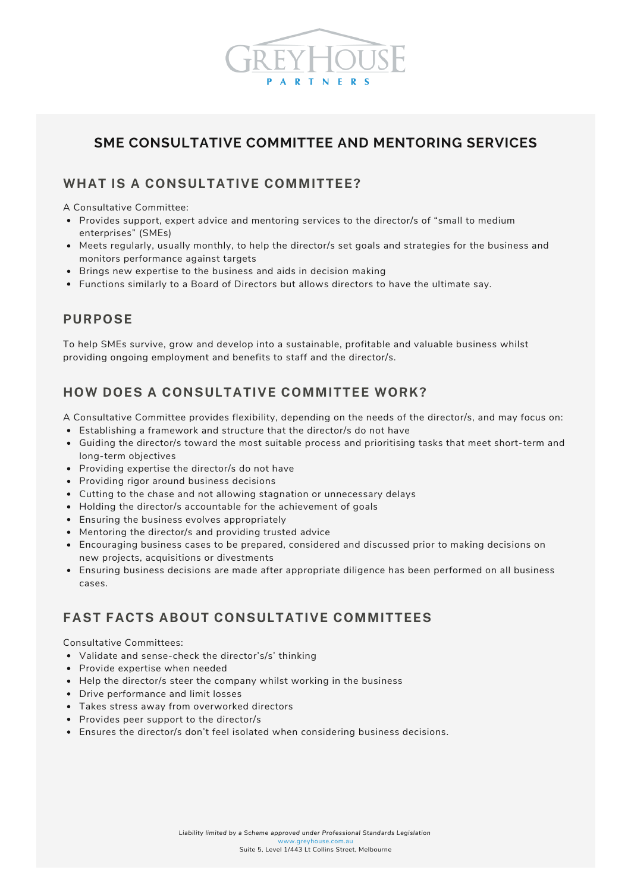

# **SME CONSULTATIVE COMMITTEE AND MENTORING SERVICES**

#### **WHAT IS A CONSULTATIVE COMMITTEE?**

A Consultative Committee:

- Provides support, expert advice and mentoring services to the director/s of "small to medium enterprises" (SMEs)
- Meets regularly, usually monthly, to help the director/s set goals and strategies for the business and monitors performance against targets
- Brings new expertise to the business and aids in decision making
- Functions similarly to a Board of Directors but allows directors to have the ultimate say.

### **PURPOSE**

To help SMEs survive, grow and develop into a sustainable, profitable and valuable business whilst providing ongoing employment and benefits to staff and the director/s.

# **HOW DOES A CONSULTATIVE COMMITTEE WORK?**

A Consultative Committee provides flexibility, depending on the needs of the director/s, and may focus on:

- Establishing a framework and structure that the director/s do not have
- Guiding the director/s toward the most suitable process and prioritising tasks that meet short-term and long-term objectives
- Providing expertise the director/s do not have
- Providing rigor around business decisions
- Cutting to the chase and not allowing stagnation or unnecessary delays
- Holding the director/s accountable for the achievement of goals
- Ensuring the business evolves appropriately
- Mentoring the director/s and providing trusted advice
- Encouraging business cases to be prepared, considered and discussed prior to making decisions on new projects, acquisitions or divestments
- Ensuring business decisions are made after appropriate diligence has been performed on all business cases.

### **FAST FACTS ABOUT CONSULTATIVE COMMITTEES**

Consultative Committees:

- Validate and sense-check the director's/s' thinking
- Provide expertise when needed
- Help the director/s steer the company whilst working in the business
- Drive performance and limit losses
- Takes stress away from overworked directors
- Provides peer support to the director/s
- Ensures the director/s don't feel isolated when considering business decisions.